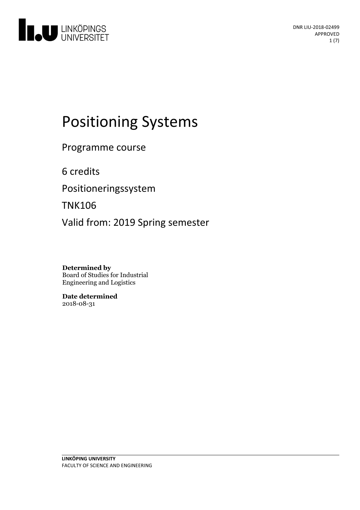

# Positioning Systems

Programme course

6 credits

Positioneringssystem

TNK106

Valid from: 2019 Spring semester

**Determined by** Board of Studies for Industrial Engineering and Logistics

**Date determined** 2018-08-31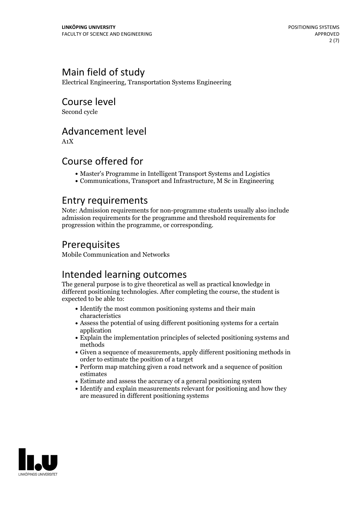### Main field of study

Electrical Engineering, Transportation Systems Engineering

Course level

Second cycle

### Advancement level

A1X

### Course offered for

- Master's Programme in Intelligent Transport Systems and Logistics
- Communications, Transport and Infrastructure, M Sc in Engineering

### Entry requirements

Note: Admission requirements for non-programme students usually also include admission requirements for the programme and threshold requirements for progression within the programme, or corresponding.

### Prerequisites

Mobile Communication and Networks

### Intended learning outcomes

The general purpose is to give theoretical as well as practical knowledge in different positioning technologies. After completing the course, the student is expected to be able to:

- Identify the most common positioning systems and their main characteristics
- Assess the potential of using different positioning systems for a certain application
- Explain the implementation principles of selected positioning systems and methods
- Given a sequence of measurements, apply different positioning methods in order to estimate the position of a target
- Perform map matching given a road network and a sequence of position estimates
- Estimate and assess the accuracy of a general positioning system
- Identify and explain measurements relevant for positioning and how they are measured in different positioning systems

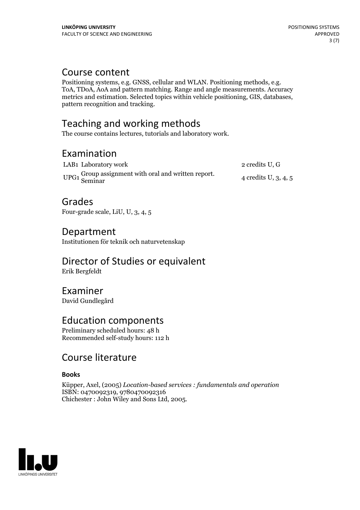**Course content**<br>Positioning systems, e.g. GNSS, cellular and WLAN. Positioning methods, e.g. ToA, TDoA, AoA and pattern matching. Range and angle measurements. Accuracy metrics and estimation. Selected topics within vehicle positioning, GIS, databases, pattern recognition and tracking.

### Teaching and working methods

The course contains lectures, tutorials and laboratory work.

### Examination

| LAB1 Laboratory work                                           | 2 credits U, G         |
|----------------------------------------------------------------|------------------------|
| UPG1 Group assignment with oral and written report.<br>Seminar | 4 credits U, $3, 4, 5$ |

### Grades

Four-grade scale, LiU, U, 3, 4, 5

### Department

Institutionen för teknik och naturvetenskap

## Director of Studies or equivalent

Erik Bergfeldt

### Examiner

David Gundlegård

### Education components

Preliminary scheduled hours: 48 h Recommended self-study hours: 112 h

### Course literature

#### **Books**

Küpper, Axel, (2005) *Location-based services : fundamentals and operation* ISBN: 0470092319, 9780470092316 Chichester : John Wiley and Sons Ltd, 2005.

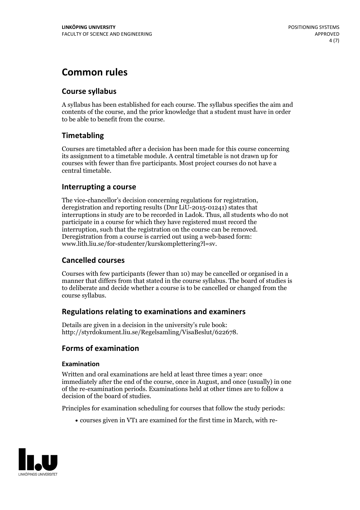### **Common rules**

#### **Course syllabus**

A syllabus has been established for each course. The syllabus specifies the aim and contents of the course, and the prior knowledge that a student must have in order to be able to benefit from the course.

### **Timetabling**

Courses are timetabled after a decision has been made for this course concerning its assignment to a timetable module. A central timetable is not drawn up for courses with fewer than five participants. Most project courses do not have a central timetable.

#### **Interrupting a course**

The vice-chancellor's decision concerning regulations for registration, deregistration and reporting results (Dnr LiU-2015-01241) states that interruptions in study are to be recorded in Ladok. Thus, all students who do not participate in a course for which they have registered must record the interruption, such that the registration on the course can be removed. Deregistration from <sup>a</sup> course is carried outusing <sup>a</sup> web-based form: www.lith.liu.se/for-studenter/kurskomplettering?l=sv.

#### **Cancelled courses**

Courses with few participants (fewer than 10) may be cancelled or organised in a manner that differs from that stated in the course syllabus. The board of studies is to deliberate and decide whether a course is to be cancelled orchanged from the course syllabus.

#### **Regulations relatingto examinations and examiners**

Details are given in a decision in the university's rule book: http://styrdokument.liu.se/Regelsamling/VisaBeslut/622678.

#### **Forms of examination**

#### **Examination**

Written and oral examinations are held at least three times a year: once immediately after the end of the course, once in August, and once (usually) in one of the re-examination periods. Examinations held at other times are to follow a decision of the board of studies.

Principles for examination scheduling for courses that follow the study periods:

courses given in VT1 are examined for the first time in March, with re-

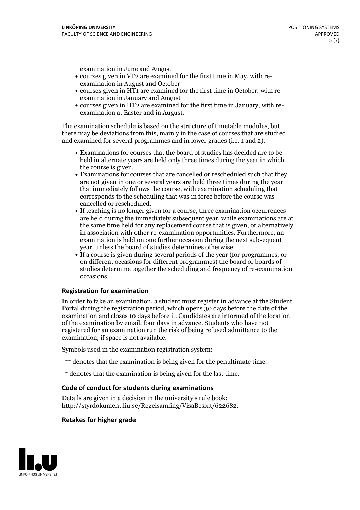examination in June and August

- courses given in VT2 are examined for the first time in May, with re-examination in August and October
- courses given in HT1 are examined for the first time in October, with re-examination in January and August
- courses given in HT2 are examined for the first time in January, with re-examination at Easter and in August.

The examination schedule is based on the structure of timetable modules, but there may be deviations from this, mainly in the case of courses that are studied and examined for several programmes and in lower grades (i.e. 1 and 2).

- Examinations for courses that the board of studies has decided are to be held in alternate years are held only three times during the year in which
- the course is given.<br>• Examinations for courses that are cancelled or rescheduled such that they are not given in one or several years are held three times during the year that immediately follows the course, with examination scheduling that corresponds to the scheduling that was in force before the course was cancelled or rescheduled.<br>• If teaching is no longer given for a course, three examination occurrences
- are held during the immediately subsequent year, while examinations are at the same time held for any replacement course that is given, or alternatively in association with other re-examination opportunities. Furthermore, an examination is held on one further occasion during the next subsequent year, unless the board of studies determines otherwise.<br>• If a course is given during several periods of the year (for programmes, or
- on different occasions for different programmes) the board orboards of studies determine together the scheduling and frequency of re-examination occasions.

#### **Registration for examination**

In order to take an examination, a student must register in advance at the Student Portal during the registration period, which opens 30 days before the date of the examination and closes 10 days before it. Candidates are informed of the location of the examination by email, four days in advance. Students who have not registered for an examination run the risk of being refused admittance to the examination, if space is not available.

Symbols used in the examination registration system:

- \*\* denotes that the examination is being given for the penultimate time.
- \* denotes that the examination is being given for the last time.

#### **Code of conduct for students during examinations**

Details are given in a decision in the university's rule book: http://styrdokument.liu.se/Regelsamling/VisaBeslut/622682.

#### **Retakes for higher grade**

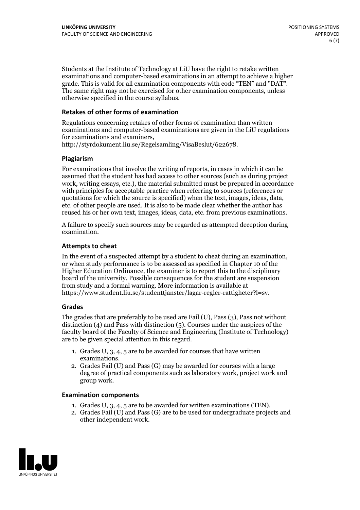Students at the Institute of Technology at LiU have the right to retake written examinations and computer-based examinations in an attempt to achieve a higher grade. This is valid for all examination components with code "TEN" and "DAT". The same right may not be exercised for other examination components, unless otherwise specified in the course syllabus.

#### **Retakes of other forms of examination**

Regulations concerning retakes of other forms of examination than written examinations and computer-based examinations are given in the LiU regulations for examinations and examiners, http://styrdokument.liu.se/Regelsamling/VisaBeslut/622678.

#### **Plagiarism**

For examinations that involve the writing of reports, in cases in which it can be assumed that the student has had access to other sources (such as during project work, writing essays, etc.), the material submitted must be prepared in accordance with principles for acceptable practice when referring to sources (references or quotations for which the source is specified) when the text, images, ideas, data, etc. of other people are used. It is also to be made clear whether the author has reused his or her own text, images, ideas, data, etc. from previous examinations.

A failure to specify such sources may be regarded as attempted deception during examination.

#### **Attempts to cheat**

In the event of <sup>a</sup> suspected attempt by <sup>a</sup> student to cheat during an examination, or when study performance is to be assessed as specified in Chapter <sup>10</sup> of the Higher Education Ordinance, the examiner is to report this to the disciplinary board of the university. Possible consequences for the student are suspension from study and a formal warning. More information is available at https://www.student.liu.se/studenttjanster/lagar-regler-rattigheter?l=sv.

#### **Grades**

The grades that are preferably to be used are Fail (U), Pass (3), Pass not without distinction  $(4)$  and Pass with distinction  $(5)$ . Courses under the auspices of the faculty board of the Faculty of Science and Engineering (Institute of Technology) are to be given special attention in this regard.

- 1. Grades U, 3, 4, 5 are to be awarded for courses that have written
- examinations. 2. Grades Fail (U) and Pass (G) may be awarded for courses with <sup>a</sup> large degree of practical components such as laboratory work, project work and group work.

#### **Examination components**

- 
- 1. Grades U, 3, 4, <sup>5</sup> are to be awarded for written examinations (TEN). 2. Grades Fail (U) and Pass (G) are to be used for undergraduate projects and other independent work.